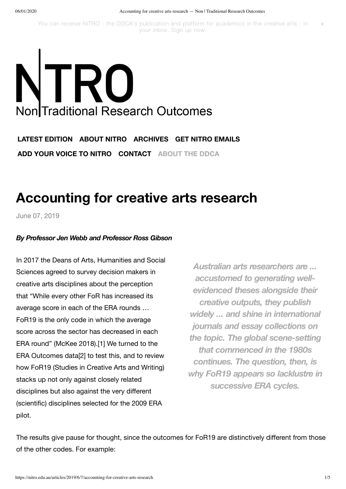You can receive NiTRO - the DDCA's [publication](https://nitro.edu.au/subscribe) and platform for academics in the creative arts - in your inbox. [Sign](https://nitro.edu.au/subscribe) up now.  $\times$ 

# TRO Non Traditional Research Outcomes

**LATEST [EDITION](https://nitro.edu.au/) [ABOUT](https://nitro.edu.au/about) NITRO [ARCHIVES](https://nitro.edu.au/archive) GET NITRO [EMAILS](https://nitro.edu.au/subscribe) ADD YOUR VOICE TO [NITRO](https://nitro.edu.au/contribute) [CONTACT](https://nitro.edu.au/contact) [ABOUT](http://ddca.edu.au/) THE DDCA**

# **[Accounting](https://nitro.edu.au/articles/2019/6/7/accounting-for-creative-arts-research) for creative arts research**

June 07, [2019](https://nitro.edu.au/articles/2019/6/7/accounting-for-creative-arts-research)

### *By Professor Jen Webb and Professor Ross Gibson*

In 2017 the Deans of Arts, Humanities and Social Sciences agreed to survey decision makers in creative arts disciplines about the perception that "While every other FoR has increased its average score in each of the ERA rounds … FoR19 is the only code in which the average score across the sector has decreased in each ERA round" (McKee 2018).[1] We turned to the ERA Outcomes data[2] to test this, and to review how FoR19 (Studies in Creative Arts and Writing) stacks up not only against closely related disciplines but also against the very different (scientific) disciplines selected for the 2009 ERA pilot.

*Australian arts researchers are ... accustomed to generating wellevidenced theses alongside their creative outputs, they publish widely ... and shine in international journals and essay collections on the topic. The global scene-setting that commenced in the 1980s continues. The question, then, is why FoR19 appears so lacklustre in successive ERA cycles.*

The results give pause for thought, since the outcomes for FoR19 are distinctively different from those of the other codes. For example: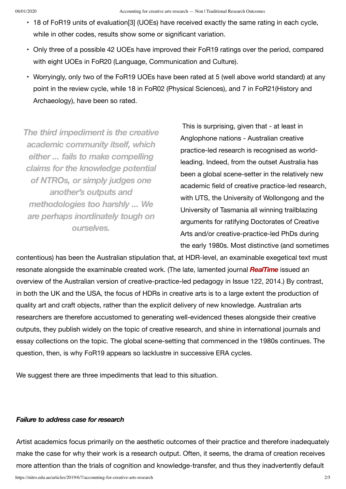- 18 of FoR19 units of evaluation[3] (UOEs) have received exactly the same rating in each cycle, while in other codes, results show some or significant variation.
- Only three of a possible 42 UOEs have improved their FoR19 ratings over the period, compared with eight UOEs in FoR20 (Language, Communication and Culture).
- Worryingly, only two of the FoR19 UOEs have been rated at 5 (well above world standard) at any point in the review cycle, while 18 in FoR02 (Physical Sciences), and 7 in FoR21(History and Archaeology), have been so rated.

*The third impediment is the creative academic community itself, which either ... fails to make compelling claims for the knowledge potential of NTROs, or simply judges one another's outputs and methodologies too harshly ... We are perhaps inordinately tough on ourselves.*

This is surprising, given that - at least in Anglophone nations - Australian creative practice-led research is recognised as worldleading. Indeed, from the outset Australia has been a global scene-setter in the relatively new academic field of creative practice-led research, with UTS, the University of Wollongong and the University of Tasmania all winning trailblazing arguments for ratifying Doctorates of Creative Arts and/or creative-practice-led PhDs during the early 1980s. Most distinctive (and sometimes

contentious) has been the Australian stipulation that, at HDR-level, an examinable exegetical text must resonate alongside the examinable created work. (The late, lamented journal *[RealTime](https://www.realtime.org.au/editorial-rt122/)* issued an overview of the Australian version of creative-practice-led pedagogy in Issue 122, 2014.) By contrast, in both the UK and the USA, the focus of HDRs in creative arts is to a large extent the production of quality art and craft objects, rather than the explicit delivery of new knowledge. Australian arts researchers are therefore accustomed to generating well-evidenced theses alongside their creative outputs, they publish widely on the topic of creative research, and shine in international journals and essay collections on the topic. The global scene-setting that commenced in the 1980s continues. The question, then, is why FoR19 appears so lacklustre in successive ERA cycles.

We suggest there are three impediments that lead to this situation.

# *Failure to address case for research*

Artist academics focus primarily on the aesthetic outcomes of their practice and therefore inadequately make the case for why their work is a research output. Often, it seems, the drama of creation receives more attention than the trials of cognition and knowledge-transfer, and thus they inadvertently default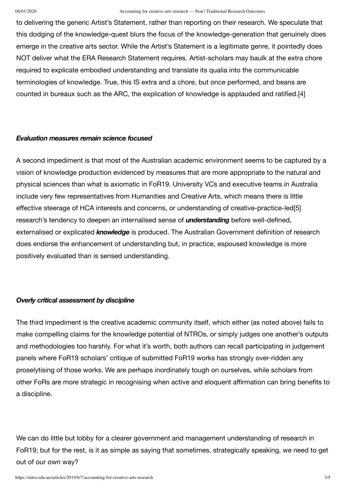to delivering the generic Artist's Statement, rather than reporting on their research. We speculate that this dodging of the knowledge-quest blurs the focus of the knowledge-generation that genuinely does emerge in the creative arts sector. While the Artist's Statement is a legitimate genre, it pointedly does NOT deliver what the ERA Research Statement requires. Artist-scholars may baulk at the extra chore required to explicate embodied understanding and translate its qualia into the communicable terminologies of knowledge. True, this IS extra and a chore, but once performed, and beans are counted in bureaux such as the ARC, the explication of knowledge is applauded and ratified.[4]

## *Evaluation measures remain science focused*

A second impediment is that most of the Australian academic environment seems to be captured by a vision of knowledge production evidenced by measures that are more appropriate to the natural and physical sciences than what is axiomatic in FoR19. University VCs and executive teams in Australia include very few representatives from Humanities and Creative Arts, which means there is little effective steerage of HCA interests and concerns, or understanding of creative-practice-led[5] research's tendency to deepen an internalised sense of *understanding* before well-defined, externalised or explicated *knowledge* is produced. The Australian Government definition of research does endorse the enhancement of understanding but, in practice, espoused knowledge is more positively evaluated than is sensed understanding.

### *Overly critical assessment by discipline*

The third impediment is the creative academic community itself, which either (as noted above) fails to make compelling claims for the knowledge potential of NTROs, or simply judges one another's outputs and methodologies too harshly. For what it's worth, both authors can recall participating in judgement panels where FoR19 scholars' critique of submitted FoR19 works has strongly over-ridden any proselytising of those works. We are perhaps inordinately tough on ourselves, while scholars from other FoRs are more strategic in recognising when active and eloquent affirmation can bring benefits to a discipline.

We can do little but lobby for a clearer government and management understanding of research in FoR19; but for the rest, is it as simple as saying that sometimes, strategically speaking, we need to get out of our own way?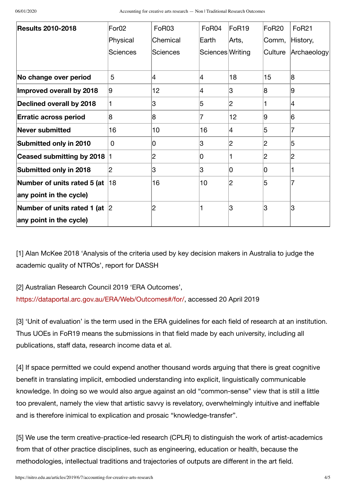| <b>Results 2010-2018</b>            | For <sub>02</sub> | <b>FoR03</b> | FoR04                    | FoR <sub>19</sub> | FoR <sub>20</sub> | <b>FoR21</b> |
|-------------------------------------|-------------------|--------------|--------------------------|-------------------|-------------------|--------------|
|                                     | Physical          | Chemical     | Earth                    | Arts,             | Comm,             | History,     |
|                                     | Sciences          | Sciences     | Sciences Writing         |                   | Culture           | Archaeology  |
| No change over period               | 5                 | Ι4           | $\overline{\mathcal{A}}$ | 18                | 15                | 8            |
| Improved overall by 2018            | 9                 | 12           | 4                        | 3                 | 8                 | 9            |
| Declined overall by 2018            |                   | 3            | 5                        | 2                 |                   | 4            |
| <b>Erratic across period</b>        | 8                 | 8            | 7                        | 12                | 9                 | 6            |
| Never submitted                     | 16                | 10           | 16                       | 4                 | 5                 | 7            |
| Submitted only in 2010              | 0                 | 10           | 3                        | 2                 | 2                 | 5            |
| Ceased submitting by 2018           |                   | 2            | 0                        |                   | 2                 | 2            |
| Submitted only in 2018              | 2                 | 3            | 3                        | 0                 | 10                |              |
| Number of units rated 5 (at $\vert$ | 18                | 16           | 10                       | 2                 | 5                 | 7            |
| any point in the cycle)             |                   |              |                          |                   |                   |              |
| Number of units rated 1 (at $ 2 $   |                   | 2            | $\mathbf{1}$             | 3                 | 3                 | 3            |
| any point in the cycle)             |                   |              |                          |                   |                   |              |

[1] Alan McKee 2018 'Analysis of the criteria used by key decision makers in Australia to judge the academic quality of NTROs', report for DASSH

[2] Australian Research Council 2019 'ERA Outcomes', <https://dataportal.arc.gov.au/ERA/Web/Outcomes#/for/>, accessed 20 April 2019

[3] 'Unit of evaluation' is the term used in the ERA guidelines for each field of research at an institution. Thus UOEs in FoR19 means the submissions in that field made by each university, including all publications, staff data, research income data et al.

[4] If space permitted we could expend another thousand words arguing that there is great cognitive benefit in translating implicit, embodied understanding into explicit, linguistically communicable knowledge. In doing so we would also argue against an old "common-sense" view that is still a little too prevalent, namely the view that artistic savvy is revelatory, overwhelmingly intuitive and ineffable and is therefore inimical to explication and prosaic "knowledge-transfer".

[5] We use the term creative-practice-led research (CPLR) to distinguish the work of artist-academics from that of other practice disciplines, such as engineering, education or health, because the methodologies, intellectual traditions and trajectories of outputs are different in the art field.